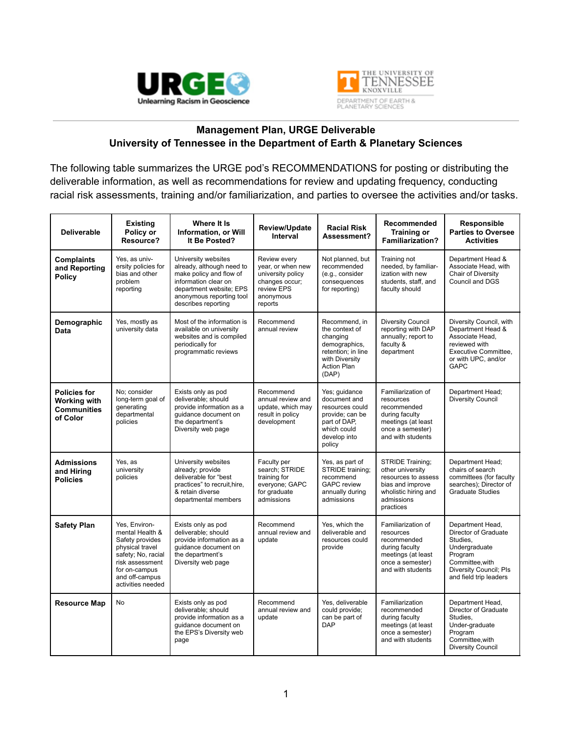



## **Management Plan, URGE Deliverable University of Tennessee in the Department of Earth & Planetary Sciences**

The following table summarizes the URGE pod's RECOMMENDATIONS for posting or distributing the deliverable information, as well as recommendations for review and updating frequency, conducting racial risk assessments, training and/or familiarization, and parties to oversee the activities and/or tasks.

| <b>Deliverable</b>                                                           | <b>Existing</b><br>Policy or<br>Resource?                                                                                                                               | Where It Is<br>Information, or Will<br>It Be Posted?                                                                                                                              | Review/Update<br>Interval                                                                                      | <b>Racial Risk</b><br>Assessment?                                                                                                   | Recommended<br><b>Training or</b><br><b>Familiarization?</b>                                                                       | Responsible<br>Parties to Oversee<br><b>Activities</b>                                                                                                          |
|------------------------------------------------------------------------------|-------------------------------------------------------------------------------------------------------------------------------------------------------------------------|-----------------------------------------------------------------------------------------------------------------------------------------------------------------------------------|----------------------------------------------------------------------------------------------------------------|-------------------------------------------------------------------------------------------------------------------------------------|------------------------------------------------------------------------------------------------------------------------------------|-----------------------------------------------------------------------------------------------------------------------------------------------------------------|
| <b>Complaints</b><br>and Reporting<br><b>Policy</b>                          | Yes, as univ-<br>ersity policies for<br>bias and other<br>problem<br>reporting                                                                                          | University websites<br>already, although need to<br>make policy and flow of<br>information clear on<br>department website; EPS<br>anonymous reporting tool<br>describes reporting | Review every<br>year, or when new<br>university policy<br>changes occur;<br>review EPS<br>anonymous<br>reports | Not planned, but<br>recommended<br>(e.g., consider<br>consequences<br>for reporting)                                                | Training not<br>needed, by familiar-<br>ization with new<br>students, staff, and<br>faculty should                                 | Department Head &<br>Associate Head, with<br>Chair of Diversity<br>Council and DGS                                                                              |
| Demographic<br>Data                                                          | Yes, mostly as<br>university data                                                                                                                                       | Most of the information is<br>available on university<br>websites and is compiled<br>periodically for<br>programmatic reviews                                                     | Recommend<br>annual review                                                                                     | Recommend, in<br>the context of<br>changing<br>demographics,<br>retention; in line<br>with Diversity<br><b>Action Plan</b><br>(DAP) | <b>Diversity Council</b><br>reporting with DAP<br>annually; report to<br>faculty &<br>department                                   | Diversity Council, with<br>Department Head &<br>Associate Head.<br>reviewed with<br>Executive Committee,<br>or with UPC, and/or<br><b>GAPC</b>                  |
| <b>Policies for</b><br><b>Working with</b><br><b>Communities</b><br>of Color | No; consider<br>long-term goal of<br>generating<br>departmental<br>policies                                                                                             | Exists only as pod<br>deliverable: should<br>provide information as a<br>guidance document on<br>the department's<br>Diversity web page                                           | Recommend<br>annual review and<br>update, which may<br>result in policy<br>development                         | Yes; guidance<br>document and<br>resources could<br>provide; can be<br>part of DAP,<br>which could<br>develop into<br>policy        | Familiarization of<br>resources<br>recommended<br>during faculty<br>meetings (at least<br>once a semester)<br>and with students    | Department Head;<br><b>Diversity Council</b>                                                                                                                    |
| <b>Admissions</b><br>and Hiring<br><b>Policies</b>                           | Yes, as<br>university<br>policies                                                                                                                                       | University websites<br>already; provide<br>deliverable for "best<br>practices" to recruit, hire,<br>& retain diverse<br>departmental members                                      | Faculty per<br>search; STRIDE<br>training for<br>everyone; GAPC<br>for graduate<br>admissions                  | Yes, as part of<br>STRIDE training;<br>recommend<br><b>GAPC</b> review<br>annually during<br>admissions                             | STRIDE Training;<br>other university<br>resources to assess<br>bias and improve<br>wholistic hiring and<br>admissions<br>practices | Department Head;<br>chairs of search<br>committees (for faculty<br>searches); Director of<br><b>Graduate Studies</b>                                            |
| <b>Safety Plan</b>                                                           | Yes, Environ-<br>mental Health &<br>Safety provides<br>physical travel<br>safety; No, racial<br>risk assessment<br>for on-campus<br>and off-campus<br>activities needed | Exists only as pod<br>deliverable: should<br>provide information as a<br>guidance document on<br>the department's<br>Diversity web page                                           | Recommend<br>annual review and<br>update                                                                       | Yes, which the<br>deliverable and<br>resources could<br>provide                                                                     | Familiarization of<br>resources<br>recommended<br>during faculty<br>meetings (at least<br>once a semester)<br>and with students    | Department Head,<br>Director of Graduate<br>Studies.<br>Undergraduate<br>Program<br>Committee, with<br><b>Diversity Council</b> ; PIs<br>and field trip leaders |
| <b>Resource Map</b>                                                          | No.                                                                                                                                                                     | Exists only as pod<br>deliverable: should<br>provide information as a<br>quidance document on<br>the EPS's Diversity web<br>page                                                  | Recommend<br>annual review and<br>update                                                                       | Yes, deliverable<br>could provide;<br>can be part of<br><b>DAP</b>                                                                  | Familiarization<br>recommended<br>during faculty<br>meetings (at least<br>once a semester)<br>and with students                    | Department Head,<br>Director of Graduate<br>Studies.<br>Under-graduate<br>Program<br>Committee, with<br><b>Diversity Council</b>                                |